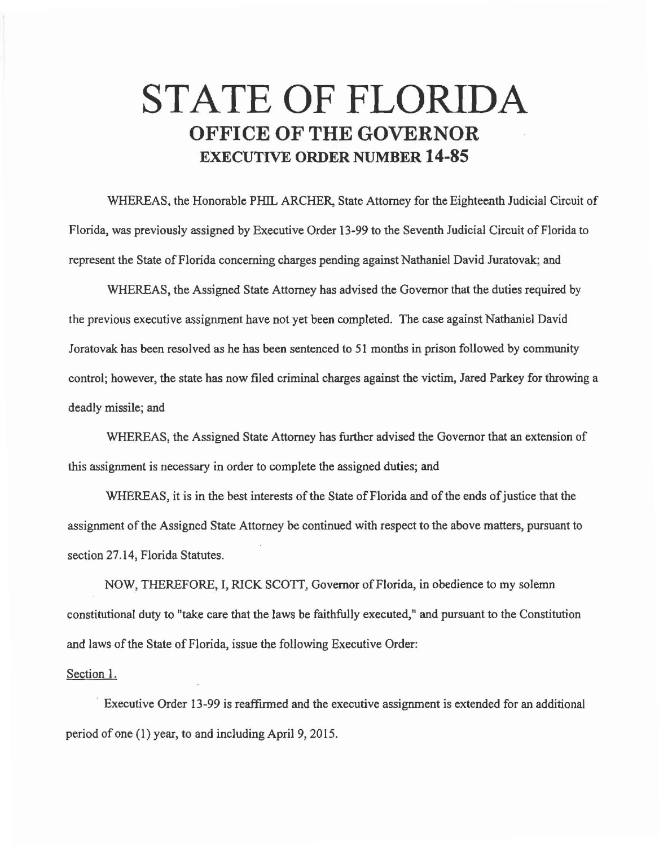## **STATE OF FLORIDA OFFICE OF THE GOVERNOR EXECUTIVE ORDER NUMBER 14-85**

WHEREAS, the Honorable PHIL ARCHER, State Attorney for the Eighteenth Judicial Circuit of Florida, was previously assigned by Executive Order 13-99 to the Seventh Judicial Circuit of Florida to represent the State of Florida concerning charges pending against Nathaniel David Juratovak; and

WHEREAS, the Assigned State Attorney has advised the Governor that the duties required by the previous executive assignment have not yet been completed. The case against Nathaniel David Joratovak has been resolved as he has been sentenced to 51 months in prison followed by community control; however, the state has now filed criminal charges against the victim, Jared Parkey for throwing a deadly missile; and

WHEREAS, the Assigned State Attorney has further advised the Governor that an extension of this assignment is necessary in order to complete the assigned duties; and

WHEREAS, it is in the best interests of the State of Florida and of the ends of justice that the assignment of the Assigned State Attorney be continued with respect to the above matters, pursuant to section 27.14, Florida Statutes.

NOW, THEREFORE, I, RICK SCOTT, Governor of Florida, in obedience to my solemn constitutional duty to "take care that the laws be faithfully executed," and pursuant to the Constitution and laws of the State of Florida, issue the following Executive Order:

Section 1.

Executive Order 13-99 is reaffirmed and the executive assignment is extended for an additional period of one (1) year, to and including April 9, 2015.